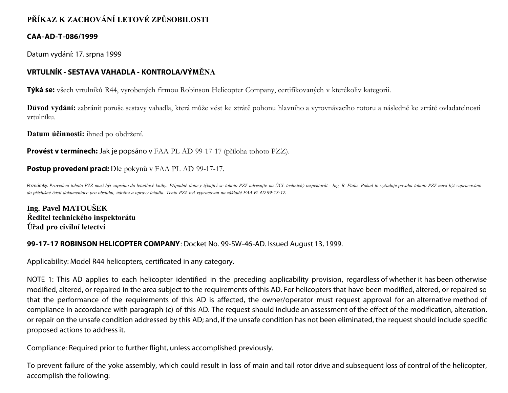# **PŘÍKAZ K ZACHOVÁNÍ LETOVÉ ZPŮSOBILOSTI**

#### **CAA-AD-T-086/1999**

Datum vydání: 17. srpna 1999

## **VRTULNÍK - SESTAVA VAHADLA - KONTROLA/VÝMĚNA**

**Týká se:** všech vrtulníků R44, vyrobených firmou Robinson Helicopter Company, certifikovaných v kterékoliv kategorii.

**Důvod vydání:** zabránit poruše sestavy vahadla, která může vést ke ztrátě pohonu hlavního a vyrovnávacího rotoru a následně ke ztrátě ovladatelnosti vrtulníku.

**Datum účinnosti:** ihned po obdržení.

**Provést v termínech:** Jak je popsáno v FAA PL AD 99-17-17 (příloha tohoto PZZ).

### **Postup provedení prací:** Dle pokynů v FAA PL AD 99-17-17.

Poznámky: Provedení tohoto PZZ musí být zapsáno do letadlové knihy. Případné dotazy týkající se tohoto PZZ adresujte na ÚCL technický inspektorát - Ing. B. Fiala. Pokud to vyžaduje povaha tohoto PZZ musí být zapracováno *do příslušné části dokumentace pro obsluhu, údržbu a opravy letadla. Tento PZZ byl vypracován na základě FAA PL AD 99- 17- 17.*

**Ing. Pavel MATOUŠEK Ředitel technického inspektorátu Úřad pro civilní letectví**

### **99-17-17 ROBINSON HELICOPTER COMPANY**: Docket No. 99-SW-46-AD. Issued August 13, 1999.

Applicability: Model R44 helicopters, certificated in any category.

NOTE 1: This AD applies to each helicopter identified in the preceding applicability provision, regardless of whether it has been otherwise modified, altered, or repaired in the area subject to the requirements of this AD. For helicopters that have been modified, altered, or repaired so that the performance of the requirements of this AD is affected, the owner/operator must request approval for an alternative method of compliance in accordance with paragraph (c) of this AD. The request should include an assessment of the effect of the modification, alteration, or repair on the unsafe condition addressed by this AD; and, if the unsafe condition has not been eliminated, the request should include specific proposed actions to address it.

Compliance: Required prior to further flight, unless accomplished previously.

To prevent failure of the yoke assembly, which could result in loss of main and tail rotor drive and subsequent loss of control of the helicopter, accomplish the following: